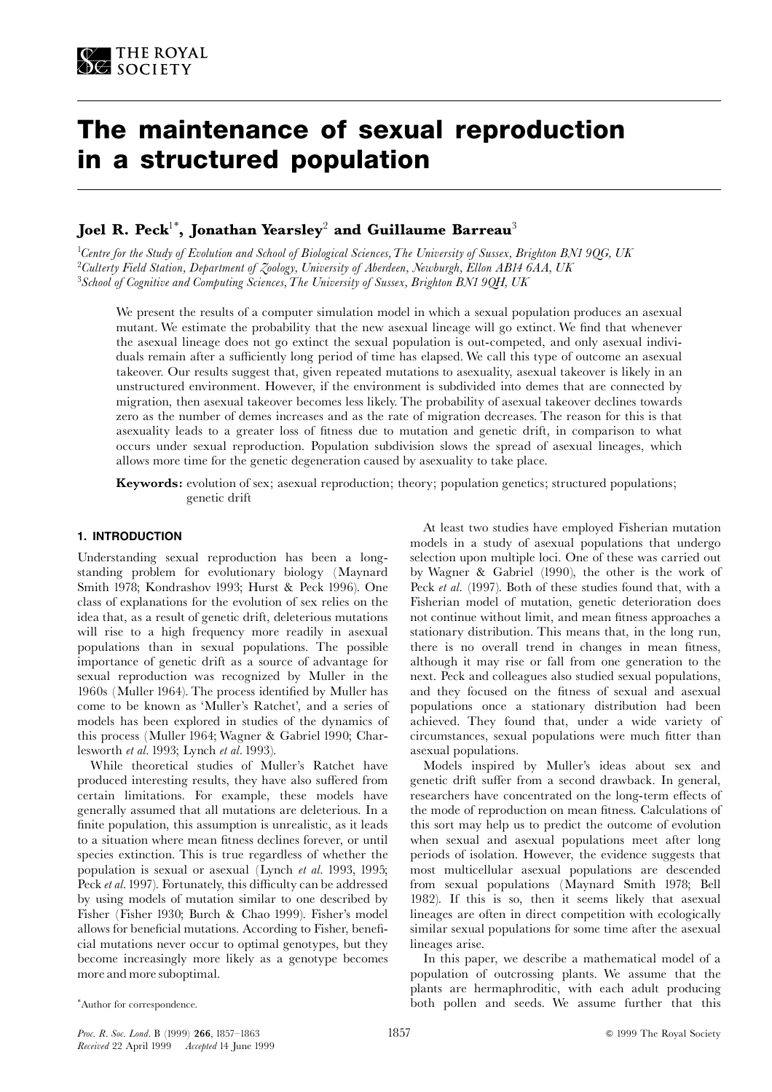# The maintenance of sexual reproduction in a structured population

# Joel R. Peck<sup>1\*</sup>, Jonathan Yearsley<sup>2</sup> and Guillaume Barreau<sup>3</sup>

<sup>1</sup>Centre for the Study of Evolution and School of Biological Sciences, The University of Sussex, Brighton BN1 9QG, UK <sup>2</sup>Culterty Field Station, Department of Zoology, University of Aberdeen, Newburgh, Ellon AB14 6AA, UK  $3$ School of Cognitive and Computing Sciences, The University of Sussex, Brighton BN1 90H, UK

We present the results of a computer simulation model in which a sexual population produces an asexual mutant. We estimate the probability that the new asexual lineage will go extinct. We find that whenever the asexual lineage does not go extinct the sexual population is out-competed, and only asexual individuals remain after a sufficiently long period of time has elapsed. We call this type of outcome an asexual takeover. Our results suggest that, given repeated mutations to asexuality, asexual takeover is likely in an unstructured environment. However, if the environment is subdivided into demes that are connected by migration, then asexual takeover becomes less likely. The probability of asexual takeover declines towards zero as the number of demes increases and as the rate of migration decreases. The reason for this is that asexuality leads to a greater loss of fitness due to mutation and genetic drift, in comparison to what occurs under sexual reproduction. Population subdivision slows the spread of asexual lineages, which allows more time for the genetic degeneration caused by asexuality to take place.

**Keywords:** evolution of sex; asexual reproduction; theory; population genetics; structured populations; genetic drift

## 1. INTRODUCTION

Understanding sexual reproduction has been a longstanding problem for evolutionary biology (Maynard Smith 1978; Kondrashov 1993; Hurst & Peck 1996). One class of explanations for the evolution of sex relies on the idea that, as a result of genetic drift, deleterious mutations will rise to a high frequency more readily in asexual populations than in sexual populations. The possible importance of genetic drift as a source of advantage for sexual reproduction was recognized by Muller in the 1960s (Muller 1964). The process identified by Muller has come to be known as 'Muller's Ratchet', and a series of models has been explored in studies of the dynamics of this process (Muller 1964; Wagner & Gabriel 1990; Charlesworth et al. 1993; Lynch et al. 1993).

While theoretical studies of Muller's Ratchet have produced interesting results, they have also suffered from certain limitations. For example, these models have generally assumed that all mutations are deleterious. In a finite population, this assumption is unrealistic, as it leads to a situation where mean fitness declines forever, or until species extinction. This is true regardless of whether the population is sexual or asexual (Lynch et al. 1993, 1995; Peck et al. 1997). Fortunately, this difficulty can be addressed by using models of mutation similar to one described by Fisher (Fisher 1930; Burch & Chao 1999). Fisher's model allows for beneficial mutations. According to Fisher, beneficial mutations never occur to optimal genotypes, but they become increasingly more likely as a genotype becomes more and more suboptimal.

At least two studies have employed Fisherian mutation models in a study of asexual populations that undergo selection upon multiple loci. One of these was carried out by Wagner & Gabriel (1990), the other is the work of Peck et al. (1997). Both of these studies found that, with a Fisherian model of mutation, genetic deterioration does not continue without limit, and mean fitness approaches a stationary distribution. This means that, in the long run, there is no overall trend in changes in mean fitness, although it may rise or fall from one generation to the next. Peck and colleagues also studied sexual populations, and they focused on the fitness of sexual and asexual populations once a stationary distribution had been achieved. They found that, under a wide variety of circumstances, sexual populations were much fitter than asexual populations.

Models inspired by Muller's ideas about sex and genetic drift suffer from a second drawback. In general, researchers have concentrated on the long-term effects of the mode of reproduction on mean fitness. Calculations of this sort may help us to predict the outcome of evolution when sexual and asexual populations meet after long periods of isolation. However, the evidence suggests that most multicellular asexual populations are descended from sexual populations (Maynard Smith 1978; Bell 1982). If this is so, then it seems likely that asexual lineages are often in direct competition with ecologically similar sexual populations for some time after the asexual lineages arise.

In this paper, we describe a mathematical model of a population of outcrossing plants. We assume that the plants are hermaphroditic, with each adult producing both pollen and seeds. We assume further that this

<sup>\*</sup>Author for correspondence.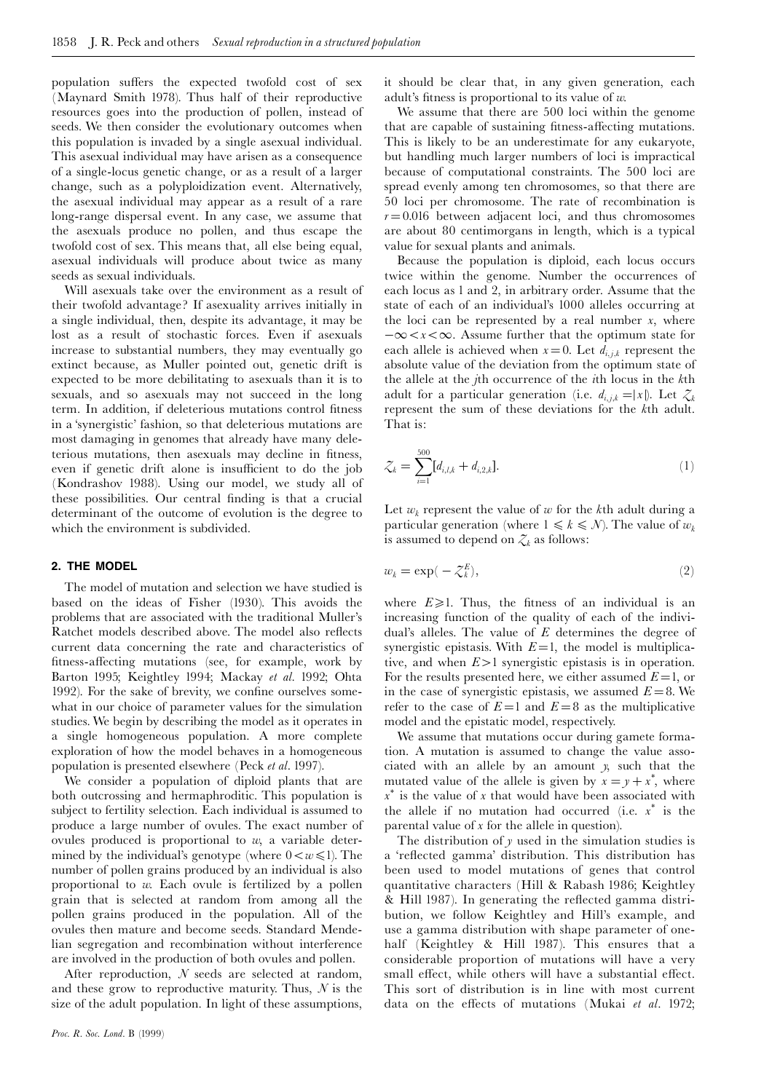population suffers the expected twofold cost of sex (Maynard Smith 1978). Thus half of their reproductive resources goes into the production of pollen, instead of seeds. We then consider the evolutionary outcomes when this population is invaded by a single asexual individual. This as exual individual may have arisen as a consequence of a single-locus genetic change, or as a result of a larger change, such as a polyploidization event. Alternatively, the asexual individual may appear as a result of a rare long-range dispersal event. In any case, we assume that the asexuals produce no pollen, and thus escape the twofold cost of sex. This means that, all else being equal, asexual individuals will produce about twice as many seeds as sexual individuals.

Will asexuals take over the environment as a result of their twofold advantage? If asexuality arrives initially in a single individual, then, despite its advantage, it may be lost as a result of stochastic forces. Even if asexuals increase to substantial numbers, they may eventually go extinct because, as Muller pointed out, genetic drift is expected to be more debilitating to asexuals than it is to sexuals, and so asexuals may not succeed in the long term. In addition, if deleterious mutations control fitness in a 'synergistic' fashion, so that deleterious mutations are most damaging in genomes that already have many deleterious mutations, then as exuals may decline in fitness, even if genetic drift alone is insufficient to do the job (Kondrashov 1988). Using our model, we study all of these possibilities. Our central finding is that a crucial determinant of the outcome of evolution is the degree to which the environment is subdivided.

#### 2. THE MODEL

The model of mutation and selection we have studied is based on the ideas of Fisher (1930). This avoids the problems that are associated with the traditional Muller's Ratchet models described above. The model also reflects current data concerning the rate and characteristics of fitness-affecting mutations (see, for example, work by Barton 1995; Keightley 1994; Mackay et al. 1992; Ohta 1992). For the sake of brevity, we confine ourselves somewhat in our choice of parameter values for the simulation studies. We begin by describing the model as it operates in a single homogeneous population. A more complete exploration of how the model behaves in a homogeneous population is presented elsewhere (Peck et al. 1997).

We consider a population of diploid plants that are both outcrossing and hermaphroditic. This population is subject to fertility selection. Each individual is assumed to produce a large number of ovules. The exact number of ovules produced is proportional to  $w$ , a variable determined by the individual's genotype (where  $0 < w \le 1$ ). The number of pollen grains produced by an individual is also proportional to  $w$ . Each ovule is fertilized by a pollen grain that is selected at random from among all the pollen grains produced in the population. All of the ovules then mature and become seeds. Standard Mendelian segregation and recombination without interference are involved in the production of both ovules and pollen.

After reproduction,  $N$  seeds are selected at random, and these grow to reproductive maturity. Thus,  $N$  is the size of the adult population. In light of these assumptions, it should be clear that, in any given generation, each adult's fitness is proportional to its value of  $w$ .

We assume that there are 500 loci within the genome that are capable of sustaining fitness-affecting mutations. This is likely to be an underestimate for any eukaryote. but handling much larger numbers of loci is impractical because of computational constraints. The 500 loci are spread evenly among ten chromosomes, so that there are 50 loci per chromosome. The rate of recombination is  $r = 0.016$  between adjacent loci, and thus chromosomes are about 80 centimorgans in length, which is a typical value for sexual plants and animals.

Because the population is diploid, each locus occurs twice within the genome. Number the occurrences of each locus as 1 and 2, in arbitrary order. Assume that the state of each of an individual's 1000 alleles occurring at the loci can be represented by a real number  $x$ , where  $-\infty < x < \infty$ . Assume further that the optimum state for each allele is achieved when  $x=0$ . Let  $d_{i,j,k}$  represent the absolute value of the deviation from the optimum state of the allele at the *j*th occurrence of the *i*th locus in the *k*th adult for a particular generation (i.e.  $d_{i,j,k} = |x|$ ). Let  $\mathcal{Z}_k$ represent the sum of these deviations for the kth adult. That is.

$$
\mathcal{Z}_k = \sum_{i=1}^{500} [d_{i,l,k} + d_{i,2,k}]. \tag{1}
$$

Let  $w_k$  represent the value of w for the kth adult during a particular generation (where  $1 \le k \le N$ ). The value of  $w_k$ is assumed to depend on  $\mathcal{Z}_k$  as follows:

$$
w_k = \exp(-\zeta_k^E),\tag{2}
$$

where  $E \ge 1$ . Thus, the fitness of an individual is an increasing function of the quality of each of the individual's alleles. The value of  $E$  determines the degree of synergistic epistasis. With  $E=1$ , the model is multiplicative, and when  $E > 1$  synergistic epistasis is in operation. For the results presented here, we either assumed  $E=1$ , or in the case of synergistic epistasis, we assumed  $E = 8$ . We refer to the case of  $E=1$  and  $E=8$  as the multiplicative model and the epistatic model, respectively.

We assume that mutations occur during gamete formation. A mutation is assumed to change the value associated with an allele by an amount y, such that the mutated value of the allele is given by  $x = y + x^*$ , where  $x^*$  is the value of x that would have been associated with the allele if no mutation had occurred (i.e.  $x^*$  is the parental value of  $x$  for the allele in question).

The distribution of  $y$  used in the simulation studies is a 'reflected gamma' distribution. This distribution has been used to model mutations of genes that control quantitative characters (Hill & Rabash 1986; Keightley & Hill 1987). In generating the reflected gamma distribution, we follow Keightley and Hill's example, and use a gamma distribution with shape parameter of onehalf (Keightley & Hill 1987). This ensures that a considerable proportion of mutations will have a very small effect, while others will have a substantial effect. This sort of distribution is in line with most current data on the effects of mutations (Mukai et al. 1972;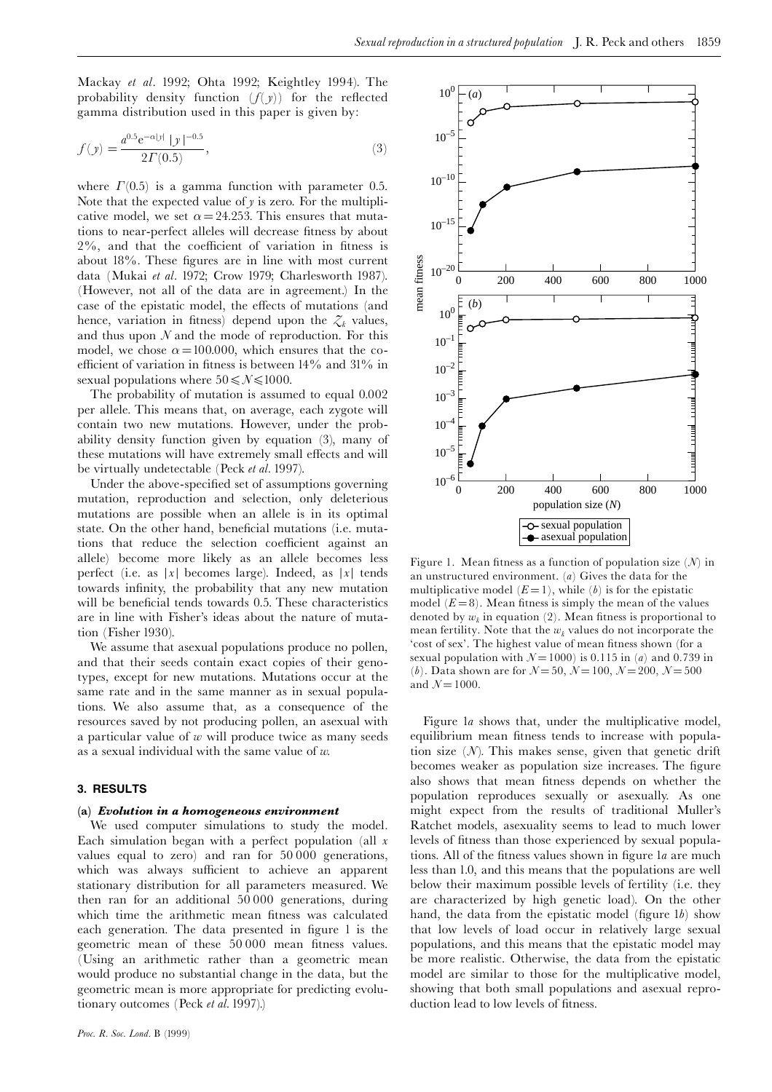Mackay et al. 1992; Ohta 1992; Keightley 1994). The probability density function  $(f(y))$  for the reflected gamma distribution used in this paper is given by:

$$
f(y) = \frac{a^{0.5} e^{-\alpha|y|} |y|^{-0.5}}{2\Gamma(0.5)},
$$
\n(3)

where  $\Gamma(0.5)$  is a gamma function with parameter 0.5. Note that the expected value of  $y$  is zero. For the multiplicative model, we set  $\alpha = 24.253$ . This ensures that mutations to near-perfect alleles will decrease fitness by about 2%, and that the coefficient of variation in fitness is about 18%. These figures are in line with most current data (Mukai et al. 1972; Crow 1979; Charlesworth 1987). (However, not all of the data are in agreement.) In the case of the epistatic model, the effects of mutations (and hence, variation in fitness) depend upon the  $\mathcal{Z}_k$  values, and thus upon  $N$  and the mode of reproduction. For this model, we chose  $\alpha = 100,000$ , which ensures that the coefficient of variation in fitness is between  $14\%$  and  $31\%$  in sexual populations where  $50 \le N \le 1000$ .

The probability of mutation is assumed to equal 0.002 per allele. This means that, on average, each zygote will contain two new mutations. However, under the probability density function given by equation (3), many of these mutations will have extremely small effects and will be virtually undetectable (Peck et al. 1997).

Under the above-specified set of assumptions governing mutation, reproduction and selection, only deleterious mutations are possible when an allele is in its optimal state. On the other hand, beneficial mutations (i.e. mutations that reduce the selection coefficient against an allele) become more likely as an allele becomes less perfect (i.e. as |x| becomes large). Indeed, as  $|x|$  tends towards infinity, the probability that any new mutation will be beneficial tends towards 0.5. These characteristics are in line with Fisher's ideas about the nature of mutation (Fisher 1930).

We assume that as exual populations produce no pollen, and that their seeds contain exact copies of their genotypes, except for new mutations. Mutations occur at the same rate and in the same manner as in sexual populations. We also assume that, as a consequence of the resources saved by not producing pollen, an asexual with a particular value of  $w$  will produce twice as many seeds as a sexual individual with the same value of  $w$ .

## 3. RESULTS

#### (a) Evolution in a homogeneous environment

We used computer simulations to study the model. Each simulation began with a perfect population (all  $x$ values equal to zero) and ran for 50000 generations, which was always sufficient to achieve an apparent stationary distribution for all parameters measured. We then ran for an additional  $50000$  generations, during which time the arithmetic mean fitness was calculated each generation. The data presented in figure 1 is the geometric mean of these 50000 mean fitness values. (Using an arithmetic rather than a geometric mean would produce no substantial change in the data, but the geometric mean is more appropriate for predicting evolutionary outcomes (Peck et al. 1997).)



Figure 1. Mean fitness as a function of population size  $(N)$  in an unstructured environment. (a) Gives the data for the multiplicative model  $(E=1)$ , while  $(b)$  is for the epistatic model  $(E=8)$ . Mean fitness is simply the mean of the values denoted by  $w_k$  in equation (2). Mean fitness is proportional to mean fertility. Note that the  $w_k$  values do not incorporate the 'cost of sex'. The highest value of mean fitness shown (for a sexual population with  $N = 1000$  is 0.115 in (*a*) and 0.739 in (*b*). Data shown are for  $N = 50$ ,  $N = 100$ ,  $N = 200$ ,  $N = 500$ and  $N = 1000$ .

Figure la shows that, under the multiplicative model, equilibrium mean fitness tends to increase with population size  $(N)$ . This makes sense, given that genetic drift becomes weaker as population size increases. The figure also shows that mean fitness depends on whether the population reproduces sexually or asexually. As one might expect from the results of traditional Muller's Ratchet models, asexuality seems to lead to much lower levels of fitness than those experienced by sexual populations. All of the fitness values shown in figure la are much less than 1.0, and this means that the populations are well below their maximum possible levels of fertility (i.e. they are characterized by high genetic load). On the other hand, the data from the epistatic model (figure 1b) show that low levels of load occur in relatively large sexual populations, and this means that the epistatic model may be more realistic. Otherwise, the data from the epistatic model are similar to those for the multiplicative model, showing that both small populations and asexual reproduction lead to low levels of fitness.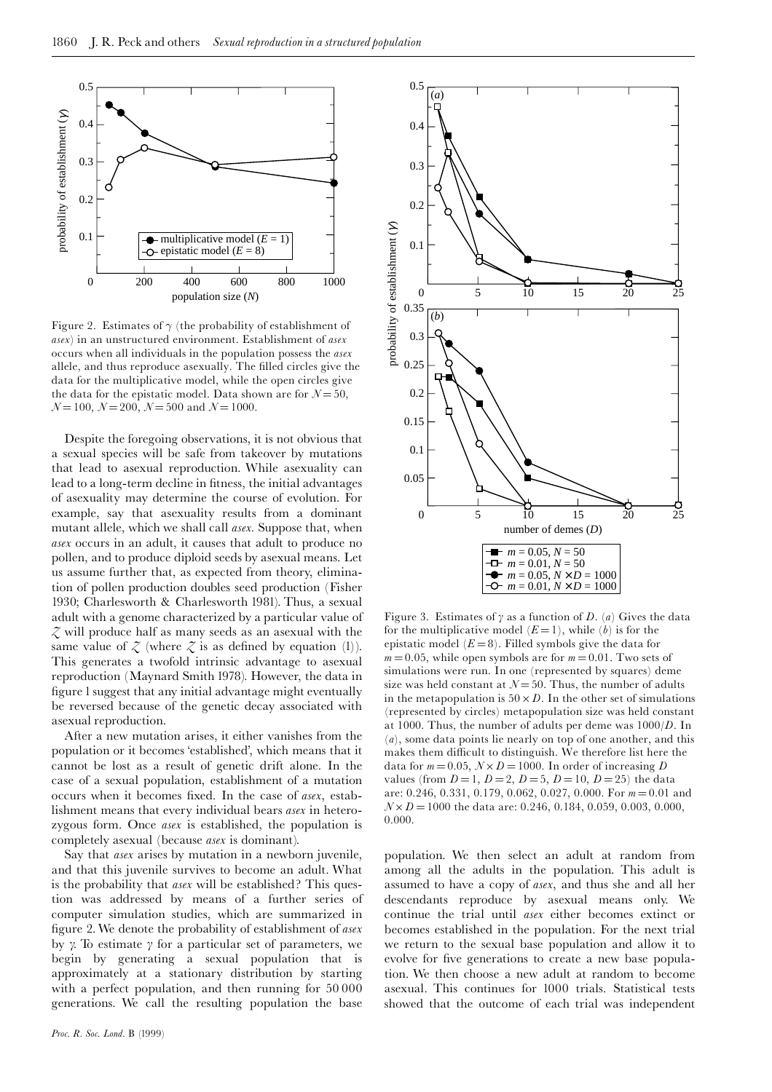

Figure 2. Estimates of  $\gamma$  (the probability of establishment of asex) in an unstructured environment. Establishment of asex occurs when all individuals in the population possess the *asex* allele, and thus reproduce asexually. The filled circles give the data for the multiplicative model, while the open circles give the data for the epistatic model. Data shown are for  $N = 50$ ,  $N=100$ ,  $N=200$ ,  $N=500$  and  $N=1000$ .

Despite the foregoing observations, it is not obvious that a sexual species will be safe from takeover by mutations that lead to asexual reproduction. While asexuality can lead to a long-term decline in fitness, the initial advantages of asexuality may determine the course of evolution. For example, say that as exuality results from a dominant mutant allele, which we shall call asex. Suppose that, when asex occurs in an adult, it causes that adult to produce no pollen, and to produce diploid seeds by asexual means. Let us assume further that, as expected from theory, elimination of pollen production doubles seed production (Fisher 1930; Charlesworth & Charlesworth 1981). Thus, a sexual adult with a genome characterized by a particular value of  $\zeta$  will produce half as many seeds as an asexual with the same value of  $\zeta$  (where  $\zeta$  is as defined by equation (1)). This generates a twofold intrinsic advantage to asexual reproduction (Maynard Smith 1978). However, the data in figure I suggest that any initial advantage might eventually be reversed because of the genetic decay associated with asexual reproduction.

After a new mutation arises, it either vanishes from the population or it becomes 'established', which means that it cannot be lost as a result of genetic drift alone. In the case of a sexual population, establishment of a mutation occurs when it becomes fixed. In the case of asex, establishment means that every individual bears *asex* in heterozygous form. Once asex is established, the population is completely asexual (because *asex* is dominant).

Say that *asex* arises by mutation in a newborn juvenile, and that this juvenile survives to become an adult. What is the probability that *asex* will be established? This question was addressed by means of a further series of computer simulation studies, which are summarized in figure 2. We denote the probability of establishment of asex by  $\gamma$ . To estimate  $\gamma$  for a particular set of parameters, we begin by generating a sexual population that is approximately at a stationary distribution by starting with a perfect population, and then running for 50000 generations. We call the resulting population the base



Figure 3. Estimates of  $\gamma$  as a function of D. (a) Gives the data for the multiplicative model  $(E=1)$ , while  $(b)$  is for the epistatic model  $(E=8)$ . Filled symbols give the data for  $m = 0.05$ , while open symbols are for  $m = 0.01$ . Two sets of simulations were run. In one (represented by squares) deme size was held constant at  $N = 50$ . Thus, the number of adults in the metapopulation is  $50 \times D$ . In the other set of simulations (represented by circles) metapopulation size was held constant at 1000. Thus, the number of adults per deme was  $1000/D$ . In  $(a)$ , some data points lie nearly on top of one another, and this makes them difficult to distinguish. We therefore list here the data for  $m = 0.05$ ,  $N \times D = 1000$ . In order of increasing D values (from  $D = 1$ ,  $D = 2$ ,  $D = 5$ ,  $D = 10$ ,  $D = 25$ ) the data are: 0.246, 0.331, 0.179, 0.062, 0.027, 0.000. For  $m = 0.01$  and  $N \times D = 1000$  the data are: 0.246, 0.184, 0.059, 0.003, 0.000,  $0.000$ 

population. We then select an adult at random from among all the adults in the population. This adult is assumed to have a copy of asex, and thus she and all her descendants reproduce by asexual means only. We continue the trial until asex either becomes extinct or becomes established in the population. For the next trial we return to the sexual base population and allow it to evolve for five generations to create a new base population. We then choose a new adult at random to become asexual. This continues for 1000 trials. Statistical tests showed that the outcome of each trial was independent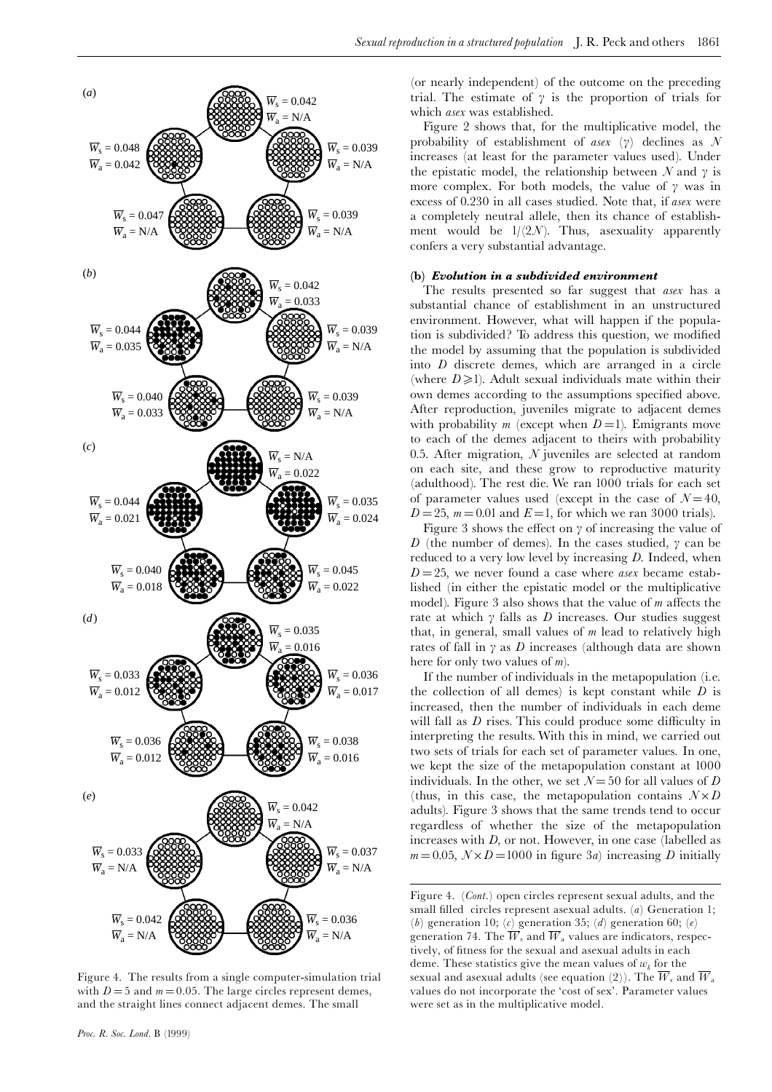

Figure 4. The results from a single computer-simulation trial with  $D = 5$  and  $m = 0.05$ . The large circles represent demes, and the straight lines connect adjacent demes. The small

(or nearly independent) of the outcome on the preceding trial. The estimate of  $\gamma$  is the proportion of trials for which asex was established.

1861

Figure 2 shows that, for the multiplicative model, the probability of establishment of asex (y) declines as N increases (at least for the parameter values used). Under the epistatic model, the relationship between N and  $\gamma$  is more complex. For both models, the value of  $\gamma$  was in excess of 0.230 in all cases studied. Note that, if asex were a completely neutral allele, then its chance of establishment would be  $1/(2N)$ . Thus, asexuality apparently confers a very substantial advantage.

# (b) Evolution in a subdivided environment

The results presented so far suggest that asex has a substantial chance of establishment in an unstructured environment. However, what will happen if the population is subdivided? To address this question, we modified the model by assuming that the population is subdivided into  $D$  discrete demes, which are arranged in a circle (where  $D \ge 1$ ). Adult sexual individuals mate within their own demes according to the assumptions specified above. After reproduction, juveniles migrate to adjacent demes with probability m (except when  $D=1$ ). Emigrants move to each of the demes adjacent to theirs with probability 0.5. After migration,  $N$  juveniles are selected at random on each site, and these grow to reproductive maturity (adulthood). The rest die. We ran 1000 trials for each set of parameter values used (except in the case of  $\mathcal{N}=40$ ,  $D = 25$ ,  $m = 0.01$  and  $E = 1$ , for which we ran 3000 trials).

Figure 3 shows the effect on  $\gamma$  of increasing the value of D (the number of demes). In the cases studied,  $\gamma$  can be reduced to a very low level by increasing  $D$ . Indeed, when  $D=25$ , we never found a case where *asex* became established (in either the epistatic model or the multiplicative model). Figure 3 also shows that the value of  $m$  affects the rate at which  $\gamma$  falls as D increases. Our studies suggest that, in general, small values of  $m$  lead to relatively high rates of fall in  $\gamma$  as D increases (although data are shown here for only two values of  $m$ ).

If the number of individuals in the metapopulation (i.e. the collection of all demes) is kept constant while  $D$  is increased, then the number of individuals in each deme will fall as  $D$  rises. This could produce some difficulty in interpreting the results. With this in mind, we carried out two sets of trials for each set of parameter values. In one, we kept the size of the metapopulation constant at 1000 individuals. In the other, we set  $N = 50$  for all values of D (thus, in this case, the metapopulation contains  $N \times D$ adults). Figure 3 shows that the same trends tend to occur regardless of whether the size of the metapopulation increases with  $D$ , or not. However, in one case (labelled as  $m = 0.05$ ,  $N \times D = 1000$  in figure 3*a*) increasing *D* initially

Figure 4. (Cont.) open circles represent sexual adults, and the small filled circles represent asexual adults. (a) Generation 1; (b) generation 10; (c) generation 35; (d) generation 60; (e) generation 74. The  $\overrightarrow{W}_s$  and  $\overrightarrow{W}_a$  values are indicators, respectively, of fitness for the sexual and asexual adults in each deme. These statistics give the mean values of  $w_k$  for the sexual and asexual adults (see equation (2)). The  $\overline{W}_s$  and  $\overline{W}_a$ values do not incorporate the 'cost of sex'. Parameter values were set as in the multiplicative model.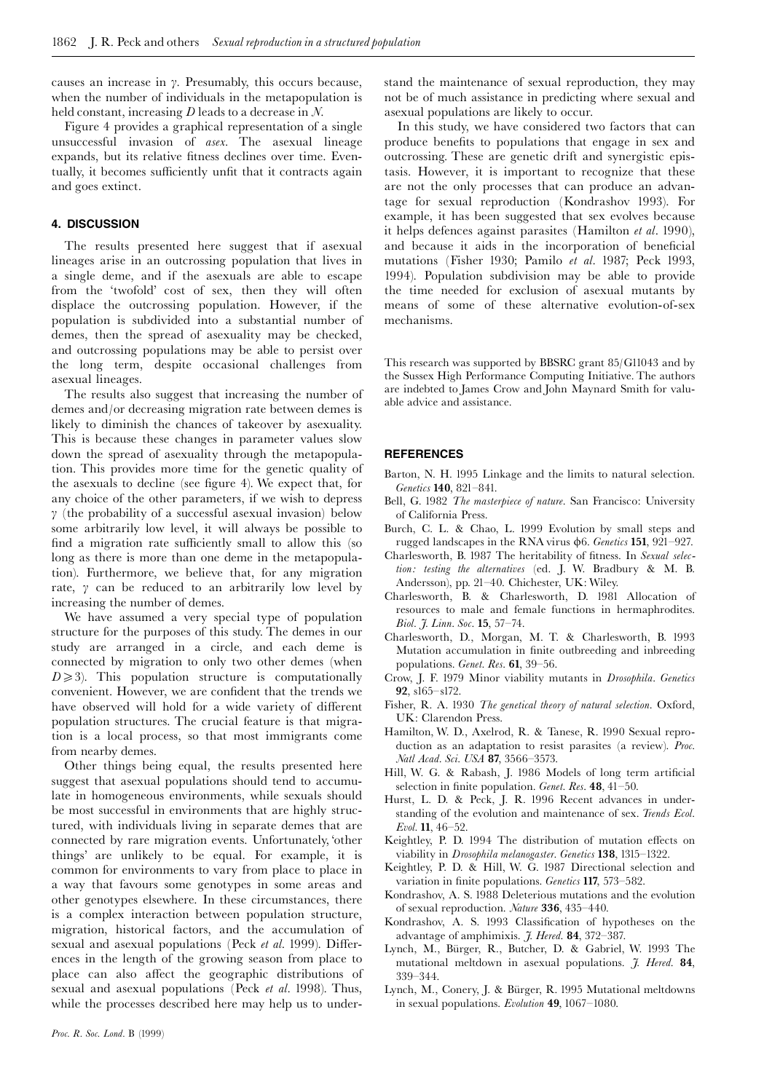causes an increase in  $\gamma$ . Presumably, this occurs because, when the number of individuals in the metapopulation is held constant, increasing  $D$  leads to a decrease in  $N$ .

Figure 4 provides a graphical representation of a single unsuccessful invasion of asex. The asexual lineage expands, but its relative fitness declines over time. Eventually, it becomes sufficiently unfit that it contracts again and goes extinct.

## 4. DISCUSSION

The results presented here suggest that if asexual lineages arise in an outcrossing population that lives in a single deme, and if the asexuals are able to escape from the 'twofold' cost of sex, then they will often displace the outcrossing population. However, if the population is subdivided into a substantial number of demes, then the spread of asexuality may be checked, and outcrossing populations may be able to persist over the long term, despite occasional challenges from asexual lineages.

The results also suggest that increasing the number of demes and/or decreasing migration rate between demes is likely to diminish the chances of takeover by asexuality. This is because these changes in parameter values slow down the spread of asexuality through the metapopulation. This provides more time for the genetic quality of the asexuals to decline (see figure 4). We expect that, for any choice of the other parameters, if we wish to depress  $\gamma$  (the probability of a successful asexual invasion) below some arbitrarily low level, it will always be possible to find a migration rate sufficiently small to allow this (so long as there is more than one deme in the metapopulation). Furthermore, we believe that, for any migration rate,  $\gamma$  can be reduced to an arbitrarily low level by increasing the number of demes.

We have assumed a very special type of population structure for the purposes of this study. The demes in our study are arranged in a circle, and each deme is connected by migration to only two other demes (when  $D \ge 3$ ). This population structure is computationally convenient. However, we are confident that the trends we have observed will hold for a wide variety of different population structures. The crucial feature is that migration is a local process, so that most immigrants come from nearby demes.

Other things being equal, the results presented here suggest that asexual populations should tend to accumulate in homogeneous environments, while sexuals should be most successful in environments that are highly structured, with individuals living in separate demes that are connected by rare migration events. Unfortunately, 'other things' are unlikely to be equal. For example, it is common for environments to vary from place to place in a way that favours some genotypes in some areas and other genotypes elsewhere. In these circumstances, there is a complex interaction between population structure, migration, historical factors, and the accumulation of sexual and asexual populations (Peck et al. 1999). Differences in the length of the growing season from place to place can also affect the geographic distributions of sexual and asexual populations (Peck et al. 1998). Thus, while the processes described here may help us to understand the maintenance of sexual reproduction, they may not be of much assistance in predicting where sexual and as exual populations are likely to occur.

In this study, we have considered two factors that can produce benefits to populations that engage in sex and outcrossing. These are genetic drift and synergistic epistasis. However, it is important to recognize that these are not the only processes that can produce an advantage for sexual reproduction (Kondrashov 1993). For example, it has been suggested that sex evolves because it helps defences against parasites (Hamilton et al. 1990), and because it aids in the incorporation of beneficial mutations (Fisher 1930; Pamilo et al. 1987; Peck 1993, 1994). Population subdivision may be able to provide the time needed for exclusion of asexual mutants by means of some of these alternative evolution-of-sex mechanisms.

This research was supported by BBSRC grant 85/G11043 and by the Sussex High Performance Computing Initiative. The authors are indebted to James Crow and John Maynard Smith for valuable advice and assistance.

#### **REFERENCES**

- Barton, N. H. 1995 Linkage and the limits to natural selection. Genetics 140, 821-841.
- Bell, G. 1982 The masterpiece of nature. San Francisco: University of California Press.
- Burch, C. L. & Chao, L. 1999 Evolution by small steps and rugged landscapes in the RNA virus φ6. Genetics 151, 921-927.
- Charlesworth, B. 1987 The heritability of fitness. In Sexual selection: testing the alternatives (ed. J. W. Bradbury & M. B. Andersson), pp. 21-40. Chichester, UK: Wiley.
- Charlesworth, B. & Charlesworth, D. 1981 Allocation of resources to male and female functions in hermaphrodites. Biol. J. Linn. Soc. 15, 57-74.
- Charlesworth, D., Morgan, M. T. & Charlesworth, B. 1993 Mutation accumulation in finite outbreeding and inbreeding populations. Genet. Res. 61, 39-56.
- Crow, J. F. 1979 Minor viability mutants in *Drosophila*. Genetics 92,  $s165 - s172$ .
- Fisher, R. A. 1930 The genetical theory of natural selection. Oxford, UK: Clarendon Press.
- Hamilton, W. D., Axelrod, R. & Tanese, R. 1990 Sexual reproduction as an adaptation to resist parasites (a review). Proc. Natl Acad. Sci. USA 87, 3566-3573.
- Hill, W. G. & Rabash, J. 1986 Models of long term artificial selection in finite population. *Genet. Res.* 48,  $41-50$ .
- Hurst, L. D. & Peck, J. R. 1996 Recent advances in understanding of the evolution and maintenance of sex. Trends Ecol. Evol. 11, 46-52.
- Keightley, P. D. 1994 The distribution of mutation effects on viability in *Drosophila melanogaster. Genetics* 138, 1315-1322.
- Keightley, P. D. & Hill, W. G. 1987 Directional selection and variation in finite populations. Genetics 117, 573-582.
- Kondrashov, A. S. 1988 Deleterious mutations and the evolution of sexual reproduction. *Nature* 336, 435-440.
- Kondrashov, A. S. 1993 Classification of hypotheses on the advantage of amphimixis. *J. Hered.* 84, 372-387.
- Lynch, M., Bürger, R., Butcher, D. & Gabriel, W. 1993 The mutational meltdown in asexual populations. J. Hered. 84, 339-344
- Lynch, M., Conery, J. & Bürger, R. 1995 Mutational meltdowns in sexual populations. Evolution 49, 1067-1080.